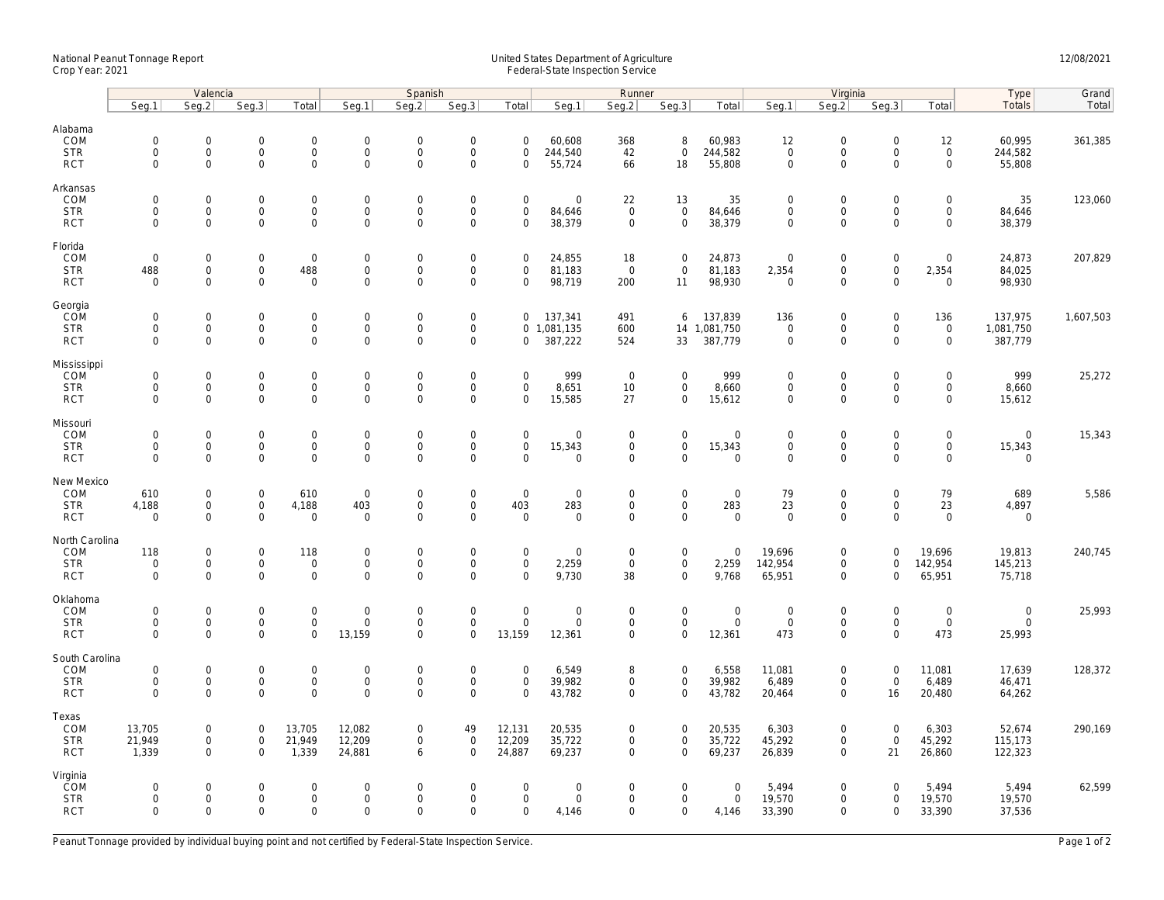## National Peanut Tonnage Report United States Department of Agriculture 12/08/2021<br>Crop Year: 2021 Federal-State Inspection Service

|                                                    | Valencia                                               |                                                           |                                                            |                                                 | Spanish                                            |                                                           |                                                   |                                                           | Runner                                       |                                          |                                            |                                      | Virginia                                          |                                                                   |                                                        |                                                   | Type                                 | Grand     |
|----------------------------------------------------|--------------------------------------------------------|-----------------------------------------------------------|------------------------------------------------------------|-------------------------------------------------|----------------------------------------------------|-----------------------------------------------------------|---------------------------------------------------|-----------------------------------------------------------|----------------------------------------------|------------------------------------------|--------------------------------------------|--------------------------------------|---------------------------------------------------|-------------------------------------------------------------------|--------------------------------------------------------|---------------------------------------------------|--------------------------------------|-----------|
|                                                    | Seq.1                                                  | Seq.2                                                     | Seg.3                                                      | Total                                           | Seg.1                                              | Seq.2                                                     | Seq.3                                             | Total                                                     | Seq.1                                        | Seg.2                                    | Seq.3                                      | Total                                | Seg.1                                             | Seg.2                                                             | Seq.3                                                  | Total                                             | Totals                               | Total     |
| Alabama<br>COM<br><b>STR</b><br><b>RCT</b>         | $\mathbf 0$<br>$\mathsf{O}\xspace$<br>$\mathbf 0$      | $\mathbf 0$<br>$\mathsf{O}\xspace$<br>$\mathbf 0$         | $\mathbf 0$<br>$\mathsf{O}\xspace$<br>$\mathbf{0}$         | $\mathbf 0$<br>$\mathsf{O}$<br>0                | $\mathbf{0}$<br>$\mathsf 0$<br>$\mathsf{O}\xspace$ | $\mathbf 0$<br>$\mathbf 0$<br>$\mathsf{O}\xspace$         | $\mathbf 0$<br>$\mathsf{O}\xspace$<br>$\mathbf 0$ | $\mathbf 0$<br>$\mathsf{O}\xspace$<br>$\mathbf 0$         | 60,608<br>244,540<br>55,724                  | 368<br>42<br>66                          | 8<br>$\mathsf{O}\xspace$<br>18             | 60,983<br>244,582<br>55,808          | 12<br>$\mathsf{O}\xspace$<br>$\mathsf{O}\xspace$  | $\mathbf 0$<br>$\mathsf{O}\xspace$<br>$\mathbf 0$                 | $\mathbf 0$<br>$\mathsf{O}\xspace$<br>$\mathbf 0$      | 12<br>$\mathsf 0$<br>$\mathsf{O}\xspace$          | 60,995<br>244,582<br>55,808          | 361,385   |
| Arkansas<br>COM<br><b>STR</b><br><b>RCT</b>        | $\mathbf 0$<br>$\mathbf 0$<br>$\mathbf 0$              | $\mathbf 0$<br>$\mathbf 0$<br>$\mathbf 0$                 | $\mathsf{O}\xspace$<br>$\mathbf 0$<br>$\mathbf 0$          | 0<br>0<br>0                                     | $\mathbf 0$<br>$\mathsf{O}\xspace$<br>$\mathbf 0$  | $\mathbf 0$<br>$\mathbf 0$<br>$\mathbf 0$                 | $\mathbf 0$<br>$\mathsf{O}\xspace$<br>$\mathbf 0$ | $\mathsf{O}\xspace$<br>$\mathsf{O}\xspace$<br>$\mathbf 0$ | $\mathsf{O}\xspace$<br>84,646<br>38,379      | 22<br>$\mathbf 0$<br>$\mathsf{O}\xspace$ | 13<br>$\mathsf{O}\xspace$<br>$\mathbf{0}$  | 35<br>84,646<br>38,379               | $\mathbf 0$<br>$\mathbf 0$<br>$\mathbf 0$         | $\mathsf{O}\xspace$<br>$\mathsf{O}\xspace$<br>$\mathbf 0$         | $\mathbf 0$<br>$\mathbf 0$<br>$\mathbf 0$              | $\mathsf{O}\xspace$<br>$\mathbf 0$<br>$\mathbf 0$ | 35<br>84,646<br>38,379               | 123,060   |
| Florida<br>COM<br><b>STR</b><br><b>RCT</b>         | $\mathsf{O}\xspace$<br>488<br>$\mathbf 0$              | $\mathbf 0$<br>$\mathbf 0$<br>$\mathbf 0$                 | $\mathsf{O}\xspace$<br>$\mathbf{0}$<br>$\mathbf 0$         | $\mathsf 0$<br>488<br>$\mathbf 0$               | $\boldsymbol{0}$<br>$\mathsf{O}$<br>$\mathbf 0$    | $\mathbf 0$<br>$\mathbf{0}$<br>$\mathbf 0$                | $\mathsf{O}\xspace$<br>$\mathbf 0$<br>$\mathbf 0$ | $\mathbf 0$<br>$\mathbf 0$<br>$\mathbf 0$                 | 24,855<br>81,183<br>98,719                   | 18<br>$\mathbf{0}$<br>200                | $\mathbf 0$<br>$\mathbf{0}$<br>11          | 24,873<br>81,183<br>98,930           | $\mathbf 0$<br>2,354<br>$\mathbf 0$               | $\mathsf{O}\xspace$<br>$\mathsf{O}\xspace$<br>$\mathbf 0$         | $\mathsf{O}\xspace$<br>$\mathbf 0$<br>$\mathbf 0$      | $\mathsf{O}\xspace$<br>2,354<br>$\mathbf 0$       | 24,873<br>84,025<br>98,930           | 207,829   |
| Georgia<br>COM<br><b>STR</b><br><b>RCT</b>         | $\mathbf 0$<br>$\mathsf{O}\xspace$<br>$\Omega$         | $\mathbf 0$<br>$\mathsf{O}\xspace$<br>$\Omega$            | $\mathsf{O}\xspace$<br>$\mathsf{O}\xspace$<br>$\Omega$     | 0<br>0<br>0                                     | $\mathbf 0$<br>$\mathsf{O}\xspace$<br>$\Omega$     | $\mathsf{O}\xspace$<br>$\mathbf 0$<br>$\Omega$            | $\mathbf 0$<br>$\mathbf 0$<br>$\mathbf 0$         | $\mathbf{0}$<br>$\mathbf 0$                               | 137,341<br>0 1,081,135<br>387,222            | 491<br>600<br>524                        | 6<br>14<br>33                              | 137,839<br>1,081,750<br>387,779      | 136<br>$\mathbf 0$<br>$\mathbf 0$                 | $\mathsf{O}\xspace$<br>$\mathsf{O}\xspace$<br>$\Omega$            | $\mathsf{O}\xspace$<br>$\mathsf{O}\xspace$<br>$\Omega$ | 136<br>$\mathsf{O}$<br>$\mathbf 0$                | 137,975<br>1,081,750<br>387,779      | 1,607,503 |
| Mississippi<br>COM<br><b>STR</b><br><b>RCT</b>     | $\mathsf{O}\xspace$<br>$\mathsf{O}\xspace$<br>$\Omega$ | $\mathbf 0$<br>$\mathbf 0$<br>$\Omega$                    | $\mathbf 0$<br>$\mathsf{O}\xspace$<br>$\mathbf{0}$         | 0<br>0<br>$\mathbf{0}$                          | $\mathsf{O}\xspace$<br>$\mathbf 0$<br>$\mathbf 0$  | $\mathsf{O}\xspace$<br>$\mathsf{O}\xspace$<br>$\mathbf 0$ | $\mathbf 0$<br>$\mathbf 0$<br>$\mathbf 0$         | $\mathbf 0$<br>$\mathsf{O}\xspace$<br>$\mathbf 0$         | 999<br>8,651<br>15,585                       | $\overline{0}$<br>10<br>27               | $\mathbf 0$<br>$\mathbf 0$<br>$\mathbf 0$  | 999<br>8,660<br>15,612               | $\mathbf 0$<br>$\mathsf{O}\xspace$<br>$\mathbf 0$ | $\mathsf{O}\xspace$<br>$\mathsf{O}\xspace$<br>$\mathbf 0$         | $\mathbf 0$<br>$\mathsf{O}\xspace$<br>$\Omega$         | $\mathsf{O}\xspace$<br>$\mathbf 0$<br>$\Omega$    | 999<br>8,660<br>15,612               | 25,272    |
| Missouri<br>COM<br><b>STR</b><br><b>RCT</b>        | $\mathbf 0$<br>$\mathsf{O}\xspace$<br>$\Omega$         | $\mathbf 0$<br>$\mathsf{O}\xspace$<br>$\mathbf 0$         | $\mathbf 0$<br>$\mathsf{O}\xspace$<br>$\mathbf 0$          | 0<br>$\mathbf 0$<br>$\overline{0}$              | $\mathbf 0$<br>$\mathsf{O}\xspace$<br>$\mathbf 0$  | $\mathbf 0$<br>$\mathbf 0$<br>$\mathbf 0$                 | $\mathsf{O}\xspace$<br>$\mathbf 0$<br>$\mathbf 0$ | $\mathsf{O}\xspace$<br>$\mathsf{O}\xspace$<br>$\Omega$    | $\mathbf 0$<br>15,343<br>$\mathbf 0$         | $\mathbf 0$<br>0<br>$\mathbf 0$          | $\mathbf 0$<br>$\mathbf 0$<br>$\mathbf{0}$ | $\mathbf 0$<br>15,343<br>$\mathbf 0$ | $\mathbf 0$<br>$\mathsf{O}\xspace$<br>$\mathbf 0$ | $\mathsf{O}\xspace$<br>$\mathsf{O}\xspace$<br>$\mathbf 0$         | $\mathbf 0$<br>$\mathbf 0$<br>$\mathbf 0$              | $\mathbf 0$<br>$\mathsf{O}\xspace$<br>$\mathbf 0$ | $\mathbf 0$<br>15,343<br>$\mathbf 0$ | 15,343    |
| New Mexico<br>COM<br><b>STR</b><br><b>RCT</b>      | 610<br>4,188<br>$\mathbf 0$                            | $\mathsf{O}\xspace$<br>$\mathsf{O}\xspace$<br>$\mathbf 0$ | $\mathsf{O}\xspace$<br>$\mathsf{O}\xspace$<br>$\mathbf 0$  | 610<br>4,188<br>$\mathbf 0$                     | $\mathbf 0$<br>403<br>$\mathbf 0$                  | $\mathsf{O}\xspace$<br>$\mathbf 0$<br>$\mathsf{O}\xspace$ | $\mathsf{O}\xspace$<br>$\mathbf 0$<br>$\mathbf 0$ | $\mathbf 0$<br>403<br>$\mathbf 0$                         | $\mathbf 0$<br>283<br>$\mathbf 0$            | $\mathbf 0$<br>0<br>$\mathbf 0$          | $\mathbf 0$<br>$\mathsf{O}$<br>$\mathbf 0$ | $\mathbf 0$<br>283<br>$\mathbf 0$    | 79<br>23<br>$\mathbf 0$                           | $\mathsf{O}\xspace$<br>$\mathsf{O}\xspace$<br>$\mathbf 0$         | $\mathbf 0$<br>$\mathsf{O}\xspace$<br>$\mathbf 0$      | 79<br>23<br>$\mathbf 0$                           | 689<br>4,897<br>$\mathbf 0$          | 5,586     |
| North Carolina<br>COM<br><b>STR</b><br><b>RCT</b>  | 118<br>$\mathbf 0$<br>$\mathbf 0$                      | $\mathbf 0$<br>$\mathbf 0$<br>$\mathbf 0$                 | $\mathsf{O}\xspace$<br>$\mathsf{O}\xspace$<br>$\mathbf{0}$ | 118<br>$\mathsf{O}\xspace$<br>0                 | $\mathbf 0$<br>$\mathsf 0$<br>$\mathsf 0$          | $\mathsf{O}\xspace$<br>$\mathsf{O}\xspace$<br>$\mathbf 0$ | $\mathbf 0$<br>$\mathsf{O}\xspace$<br>$\mathbf 0$ | $\mathsf{O}\xspace$<br>$\mathsf{O}\xspace$<br>$\Omega$    | $\mathsf{O}\xspace$<br>2,259<br>9,730        | $\mathsf 0$<br>$\mathsf 0$<br>38         | $\mathbf 0$<br>$\mathbf 0$<br>$\mathbf 0$  | $\mathbf 0$<br>2,259<br>9,768        | 19,696<br>142,954<br>65,951                       | $\mathsf{O}\xspace$<br>$\mathsf{O}\xspace$<br>$\mathbf 0$         | $\mathbf 0$<br>$\mathbf{0}$<br>$\Omega$                | 19,696<br>142,954<br>65,951                       | 19,813<br>145,213<br>75,718          | 240,745   |
| Oklahoma<br>COM<br><b>STR</b><br><b>RCT</b>        | $\mathsf{O}\xspace$<br>$\mathbf 0$<br>$\mathbf 0$      | $\mathbf 0$<br>$\mathbf 0$<br>$\mathbf 0$                 | $\mathsf{O}\xspace$<br>$\mathbf 0$<br>$\mathbf 0$          | $\mathbf 0$<br>$\mathbf 0$<br>$\overline{0}$    | $\overline{0}$<br>$\mathbf 0$<br>13,159            | $\mathbf 0$<br>$\mathbf{0}$<br>$\mathbf 0$                | $\mathbf 0$<br>$\mathbf 0$<br>$\mathbf 0$         | $\mathsf{O}\xspace$<br>$\mathbf 0$<br>13,159              | $\mathsf{O}\xspace$<br>$\mathbf 0$<br>12,361 | $\mathsf 0$<br>$\mathbf 0$<br>0          | $\mathbf 0$<br>$\mathbf 0$<br>$\mathsf{O}$ | $\mathbf 0$<br>$\mathbf 0$<br>12,361 | $\mathbf 0$<br>$\mathbf{0}$<br>473                | $\mathsf{O}\xspace$<br>$\mathsf{O}\xspace$<br>$\mathsf{O}\xspace$ | $\mathbf 0$<br>$\mathbf 0$<br>$\Omega$                 | $\mathbf 0$<br>$\mathbf 0$<br>473                 | $\mathbf 0$<br>$\mathbf 0$<br>25,993 | 25,993    |
| South Carolina<br>COM<br><b>STR</b><br><b>RCT</b>  | $\mathsf{O}\xspace$<br>$\mathbf 0$<br>$\mathbf 0$      | $\mathsf{O}\xspace$<br>$\mathbf 0$<br>$\mathbf 0$         | $\mathsf{O}\xspace$<br>$\mathbf 0$<br>$\mathbf{0}$         | $\mathsf{O}\xspace$<br>$\mathsf{O}\xspace$<br>0 | $\overline{0}$<br>$\mathbf 0$<br>$\mathbf 0$       | $\mathbf 0$<br>$\mathbf{0}$<br>$\mathbf 0$                | $\mathsf{O}\xspace$<br>$\mathbf 0$<br>$\mathbf 0$ | $\mathbf 0$<br>$\mathbf 0$<br>$\mathbf{0}$                | 6,549<br>39,982<br>43,782                    | 8<br>$\mathbf 0$<br>$\mathbf 0$          | $\mathbf 0$<br>$\mathbf{0}$<br>$\mathbf 0$ | 6,558<br>39,982<br>43,782            | 11,081<br>6,489<br>20,464                         | $\mathsf{O}\xspace$<br>$\mathbf 0$<br>$\mathbf 0$                 | $\mathbf 0$<br>$\mathbf 0$<br>16                       | 11,081<br>6,489<br>20,480                         | 17,639<br>46,471<br>64,262           | 128,372   |
| Texas<br>COM<br><b>STR</b><br><b>RCT</b>           | 13,705<br>21,949<br>1,339                              | $\mathbf 0$<br>$\mathbf 0$<br>$\Omega$                    | $\mathsf{O}\xspace$<br>$\mathbf 0$<br>$\mathbf 0$          | 13,705<br>21,949<br>1,339                       | 12,082<br>12,209<br>24,881                         | $\mathsf{O}\xspace$<br>$\mathbf 0$<br>6                   | 49<br>$\mathbf 0$<br>$\Omega$                     | 12,131<br>12,209<br>24,887                                | 20,535<br>35,722<br>69,237                   | 0<br>0<br>$\Omega$                       | $\mathbf 0$<br>$\mathbf 0$<br>$\Omega$     | 20,535<br>35,722<br>69,237           | 6,303<br>45,292<br>26,839                         | $\mathsf{O}\xspace$<br>$\mathsf{O}\xspace$<br>$\mathbf 0$         | $\mathsf{O}\xspace$<br>$\mathsf{O}\xspace$<br>21       | 6,303<br>45,292<br>26,860                         | 52,674<br>115,173<br>122,323         | 290,169   |
| Virginia<br><b>COM</b><br><b>STR</b><br><b>RCT</b> | $\mathbf 0$<br>$\mathbf 0$<br>$\Omega$                 | $\mathbf 0$<br>$\mathbf 0$<br>$\Omega$                    | $\mathbf 0$<br>$\mathbf 0$<br>$\Omega$                     | $\mathbf 0$<br>$\mathbf 0$<br>0                 | $\mathbf 0$<br>$\mathbf 0$<br>$\Omega$             | $\mathbf 0$<br>$\mathbf 0$<br>$\mathbf 0$                 | $\mathbf 0$<br>$\mathsf{O}\xspace$<br>$\mathbf 0$ | $\mathbf 0$<br>$\mathbf 0$<br>$\Omega$                    | $\mathbf 0$<br>$\mathbf 0$<br>4,146          | 0<br>0<br>0                              | $\mathbf 0$<br>$\mathbf 0$<br>0            | $\mathbf 0$<br>$\mathsf{O}$<br>4,146 | 5,494<br>19,570<br>33,390                         | $\mathbf 0$<br>$\mathbf 0$<br>$\mathbf 0$                         | $\mathbf 0$<br>$\mathbf 0$<br>0                        | 5,494<br>19,570<br>33,390                         | 5,494<br>19,570<br>37,536            | 62,599    |

Peanut Tonnage provided by individual buying point and not certified by Federal-State Inspection Service. Page 1 of 2